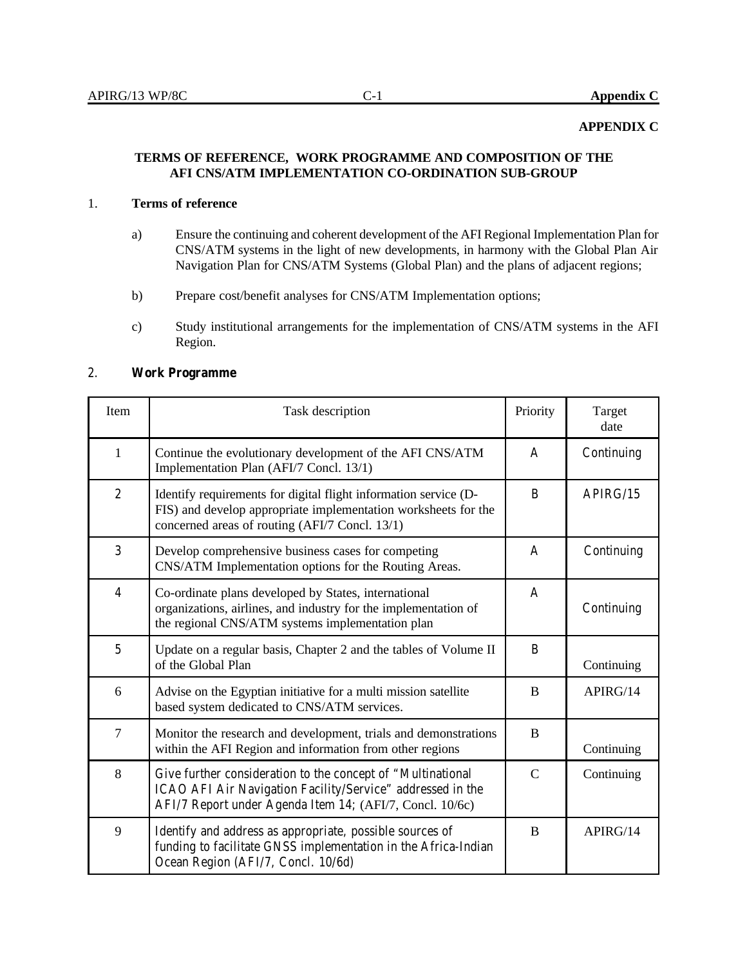## **APPENDIX C**

## **TERMS OF REFERENCE, WORK PROGRAMME AND COMPOSITION OF THE AFI CNS/ATM IMPLEMENTATION CO-ORDINATION SUB-GROUP**

## 1. **Terms of reference**

- a) Ensure the continuing and coherent development of the AFI Regional Implementation Plan for CNS/ATM systems in the light of new developments, in harmony with the Global Plan Air Navigation Plan for CNS/ATM Systems (Global Plan) and the plans of adjacent regions;
- b) Prepare cost/benefit analyses for CNS/ATM Implementation options;
- c) Study institutional arrangements for the implementation of CNS/ATM systems in the AFI Region.

## 2. **Work Programme**

| Item           | Task description                                                                                                                                                                      | Priority       | Target<br>date |
|----------------|---------------------------------------------------------------------------------------------------------------------------------------------------------------------------------------|----------------|----------------|
| $\mathbf{1}$   | Continue the evolutionary development of the AFI CNS/ATM<br>Implementation Plan (AFI/7 Concl. 13/1)                                                                                   | A              | Continuing     |
| $\overline{c}$ | Identify requirements for digital flight information service (D-<br>FIS) and develop appropriate implementation worksheets for the<br>concerned areas of routing (AFI/7 Concl. 13/1)  | B              | APIRG/15       |
| 3              | Develop comprehensive business cases for competing<br>CNS/ATM Implementation options for the Routing Areas.                                                                           | $\overline{A}$ | Continuing     |
| $\overline{4}$ | Co-ordinate plans developed by States, international<br>organizations, airlines, and industry for the implementation of<br>the regional CNS/ATM systems implementation plan           | A              | Continuing     |
| $\overline{5}$ | Update on a regular basis, Chapter 2 and the tables of Volume II<br>of the Global Plan                                                                                                | B              | Continuing     |
| 6              | Advise on the Egyptian initiative for a multi mission satellite<br>based system dedicated to CNS/ATM services.                                                                        | B              | APIRG/14       |
| $\tau$         | Monitor the research and development, trials and demonstrations<br>within the AFI Region and information from other regions                                                           | B              | Continuing     |
| 8              | Give further consideration to the concept of "Multinational<br>ICAO AFI Air Navigation Facility/Service" addressed in the<br>AFI/7 Report under Agenda Item 14; (AFI/7, Concl. 10/6c) | $\mathcal{C}$  | Continuing     |
| 9              | Identify and address as appropriate, possible sources of<br>funding to facilitate GNSS implementation in the Africa-Indian<br>Ocean Region (AFI/7, Concl. 10/6d)                      | B              | APIRG/14       |